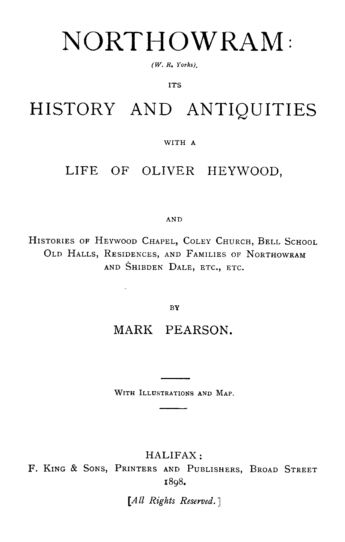# NORTHOWRAM

*(W. R. Yorks),*

*ITS*

## HISTORY AND ANTIQUITIES

### WITH A

## LIFE OF OLIVER HEYWOOD,

#### AN D

HISTORIES OF HEYWOOD CHAPEL, COLEY CHURCH, BELL SCHOOL OLD HALLS, RESIDENCES, AND FAMILIES OF NORTHOWRAM AND SHIBDEN DALE, ETC., ETC.

BY

 $\ddot{\phantom{0}}$ 

## MARK PEARSON.

WITH ILLUSTRATIONS AND MAP.

HALIFAX :

F. KING & SONS, PRINTERS AND PUBLISHERS, BROAD STREET 1898.

*[All Rights Reserved.]*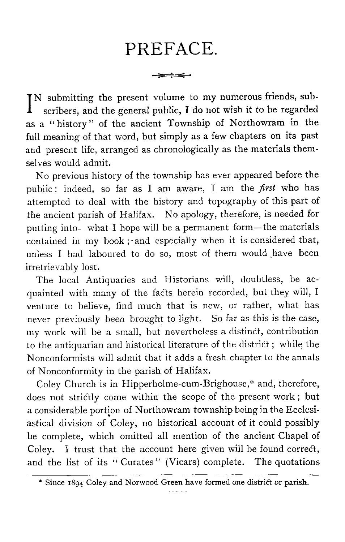## PREFACE.

مصينوم

I N submitting the present volume to my numerous friends, sub scribers, and the general public, I do not wish it to be regarded as a " history " of the ancient Township of Northowram in the full meaning of that word, but simply as a few chapters on its past and present life, arranged as chronologically as the materials them selves would admit.

No previous history of the township has ever appeared before the public : indeed, so far as I am aware, I am the *first who has* attempted to deal with the history and topography of this part of *the ancient parish of Halifax . No apology, therefore, is needed for putting into—what I hope will be a permanent form—the material s contained in my book ; and especially when it is considered that,* unless I had laboured to do so, most of them would have been *irretrievably lost.*

The local Antiquaries and Historians will, doubtless, be acquainted with many of the fads herein recorded, but they will, I venture to believe, find much that is new, or rather, what has never previously been brought to light. So far as this is the case, my work will be a small, but nevertheless a distinct, contribution to the antiquarian and historical literature of the district ; while the Nonconformists will admit that it adds a fresh chapter to the annals of Nonconformity in the parish of Halifax .

Coley Church is in Hipperholme-cum-Brighouse,\* and, therefore, does not strictly come within the scope of the present work ; but a considerable portion of Northowram township being in the Ecclesiastical division of Coley, no historical account of it could possibly be complete, which omitted all mention of the ancient Chapel of Coley. I trust that the account here given will be found correct, and the list of its " Curates" (Vicars) complete. The quotations

<sup>\*</sup> Since 1894 Coley and Norwood Green have formed one district or parish.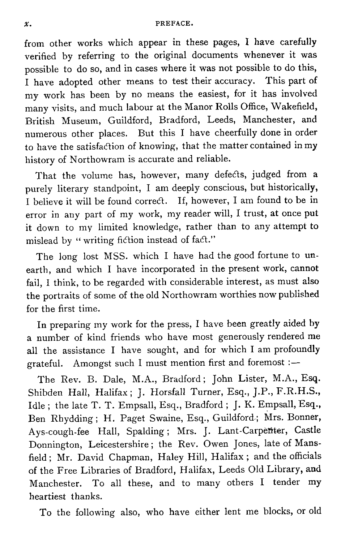from other works which appear in these pages, I have carefully verified by referring to the original documents whenever it was possible to do so, and in cases where it was not possible to do this. I have adopted other means to test their accuracy. This part of my work has been by no means the easiest, for it has involved many visits, and much labour at the Manor Rolls Office, Wakefield, British Museum, Guildford, Bradford, Leeds, Manchester, and numerous other places. But this I have cheerfully done in order to have the satisfaction of knowing, that the matter contained in my history of Northowram is accurate and reliable.

That the volume has, however, many defects, judged from a purely literary standpoint, I am deeply conscious, but historically. I believe it will be found correct. If, however, I am found to be in error in any part of my work, my reader will, I trust, at once put it down to my limited knowledge, rather than to any attempt to mislead by " writing fiction instead of fact."

The long lost MSS. which I have had the good fortune to unearth, and which I have incorporated in the present work, cannot fail, I think, to be regarded with considerable interest, as must also the portraits of some of the old Northowram worthies now published for the first time.

In preparing my work for the press, I have been greatly aided by a number of kind friends who have most generously rendered me all the assistance I have sought, and for which I am profoundly grateful. Amongst such I must mention first and foremos

The Rev. B. Dale, M.A., Bradford; John Lister, M.A., Esq. Shibden Hall, Halifax; J. Horsfall Turner, Esq., J.P., F.R.H.S., Idle; the late T. T. Empsall, Esq., Bradford; J. K. Empsall, Esq., Ben Rhydding; H. Paget Swaine, Esq., Guildford; Mrs. Bonner, Ays-cough-fee Hall, Spalding; Mrs. J. Lant-Carpenter, Castle Donnington, Leicestershire ; the Rev. Owen Jones, late of Mansfield ; Mr. David Chapman, Haley Hill, Halifax ; and the officials of the Free Libraries of Bradford, Halifax, Leeds Old Library, and Manchester. To all these, and to many others I tender my heartiest thanks.

To the following also, who have either lent me blocks, or old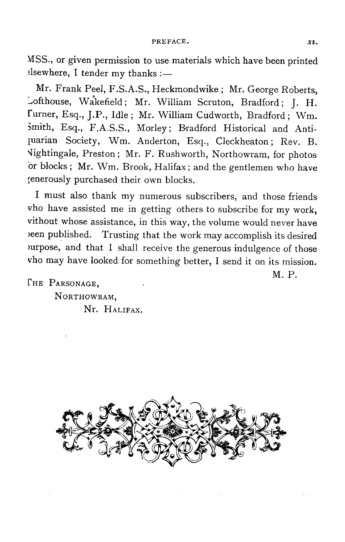MSS., or given permission to use materials which have been printed elsewhere, I tender my thanks : $-$ 

Mr. Frank Peel, F .S.A.S., Heckmondwike ; Mr. George Roberts, Lofthouse, Wakefield; Mr. William Scruton, Bradford; J. H. Turner, Esq., J.P., Idle ; Mr. William Cudworth, Bradford ; Wm. Smith, Esq., F.A.S.S., Morley; Bradford Historical and Antiquarian Society, Wm. Anderton, Esq., Cleckheaton; Rev. B. Vightingale, Preston; Mr. F. Rushworth, Northowram, for photos or blocks ; Mr. Wm. Brook, Halifax ; and the gentlemen who have generously purchased their own blocks .

I must also thank my numerous subscribers, and those friends who have assisted me in getting others to subscribe for my work, without whose assistance, in this way, the volume would never have been published. Trusting that the work may accomplish its desired  $p$ urpose, and that I shall receive the generous indulgence of those who may have looked for something better, I send it on its mission .

M. P.

**PARSONAGE. NORTHOWRAM ,** Nr. HALIFAX.

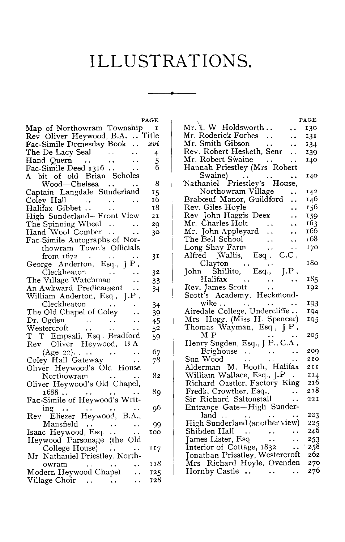## ILLUSTRATIONS.

|                                                                                              | PAGE           |
|----------------------------------------------------------------------------------------------|----------------|
|                                                                                              |                |
|                                                                                              |                |
| Map of Northowram Township<br>Rev Oliver Heywood, B.A. Title<br>Fac-Simile Domesday Book xvi |                |
| The De Lacy Seal<br>$\mathcal{L}^{\text{max}}_{\text{max}}$                                  | $\overline{4}$ |
|                                                                                              | 5              |
|                                                                                              | б              |
| Hand Quern<br>Fac-Simile Deed 1316<br>A bit of old Brian Scholes                             |                |
| Wood-Chelsea                                                                                 | -8             |
| Captain Langdale Sunderland                                                                  | 15             |
| Coley Hall                                                                                   | 16             |
| $\sum_{\text{bhet}} \cdots$<br>Halifax Gibbet                                                | 18             |
| High Sunderland-Front View<br>The Spinning Wheel                                             | 21             |
|                                                                                              | 29             |
| Hand Wool Comber                                                                             |                |
|                                                                                              | 30             |
| Fac-Simile Autographs of Nor-<br>thowram Town's Officials                                    |                |
|                                                                                              |                |
| from 1672                                                                                    | 31             |
|                                                                                              |                |
| Cleckheaton                                                                                  | 32             |
| The Village Watchman                                                                         | 33             |
| An Awkward Predicament                                                                       | 34             |
| William Anderton, Esq, J.P,                                                                  |                |
| Cleckheaton                                                                                  | 34             |
| The Old Chapel of Coley                                                                      | 39             |
| ∪guen<br>Westercroft<br>T m =                                                                | 45             |
| $\ddotsc$<br>$\ddotsc$                                                                       | 52             |
| T T Empsall, Esq , Bradford                                                                  | 59             |
| Rev Oliver Heywood, B A                                                                      |                |
| (Age 22).<br>Coley Hall Gateway                                                              | 67             |
|                                                                                              | 78             |
| Oliver Heywood's Old House                                                                   |                |
| Northowram                                                                                   | 82             |
| Oliver Heywood's Old Chapel,                                                                 |                |
|                                                                                              | 89             |
| 1688<br>Fac-Simile of Heywood's Writ-                                                        |                |
| ing                                                                                          | οб             |
| Rev Eliezer Heywood, B.A.,                                                                   |                |
| Mansfield                                                                                    | 99             |
| Isaac Heywood, Esq.<br>Heywood Parsonage (the Old                                            | 100            |
|                                                                                              |                |
| College House) $\ldots$                                                                      | 117            |
| Mr Nathaniel Priestley, North-                                                               |                |
| owram                                                                                        | 118            |
| Modern Heywood Chapel                                                                        | 125            |
| Village Choir                                                                                | 128            |
|                                                                                              |                |

|                                                                                   | PAGE |
|-----------------------------------------------------------------------------------|------|
| Mr. I. W Holdsworth                                                               | 130  |
| Mr. Roderick Forbes<br>$\ddot{\phantom{a}}$                                       | 131  |
| Mr. Smith Gibson                                                                  | 134  |
| Rev. Robert Hesketh, Senr                                                         | 139  |
| Mr. Robert Swaine                                                                 | 140  |
| Mr. Robert Swaine<br>Hannah Priestley (Mrs. Robert                                |      |
|                                                                                   | 140  |
| Swaine)<br>Nathaniel Priestley's House,                                           |      |
| Northowram Village                                                                | 142  |
| Brabœuf Manor, Guildford<br>. .                                                   | 146  |
| Rev. Giles Hoyle<br>. .                                                           | 156  |
| Rev John Haggis Deex<br>. .                                                       | 159  |
| Mr. Charles Holt<br>Mr. John Appleyard                                            | 163  |
|                                                                                   | 166  |
| The Bell School                                                                   | 168  |
| Long Shay Farm<br>Alfred Wallis, Esq., C.C.                                       | 170  |
|                                                                                   |      |
| Clayton                                                                           | 180  |
| Clayton<br>John Shillito, Esq., J.P,                                              |      |
| Halifax                                                                           | 185  |
| Rev. James Scott<br>Scott's Angless -                                             | 192  |
| Scott's Academy, Heckmond-                                                        |      |
| wike                                                                              | 193  |
| Airedale College, Undercliffe                                                     | 194  |
|                                                                                   | 195  |
| Mrs Hogg, (Miss H. Spencer)<br>Thomas Wayman, Esq, J P.,                          |      |
| ΜР                                                                                | 205  |
| Henry Sugden, Esq., J P., C.A,                                                    |      |
| $Brightwise$                                                                      | 209  |
| Sun Wood                                                                          | 210  |
|                                                                                   | 211  |
| Alderman M. Booth, Halifax<br>William Wallace, Esq., J.P                          | 214  |
| Richard Oastler, Factory King                                                     | 216  |
|                                                                                   | 218  |
| Fredk. Crowther, Esq.,<br>Sir Richard Saltonstall                                 | 221  |
| Entrance Gate-High Sunder-                                                        |      |
|                                                                                   | 223  |
| land<br>High Sunderland (another view)                                            | 225  |
| Shibden Hall<br>$\langle\cdot\,\rangle$                                           | 246  |
| James Lister, Esq                                                                 | 253  |
| James Lister, Esq<br>Interior of Cottage, 1832<br>Jonathan Priestley, Westercroft | 258  |
|                                                                                   | 262  |
| Mrs Richard Hoyle, Ovenden                                                        | 270  |
| Hornby Castle                                                                     | 276  |
|                                                                                   |      |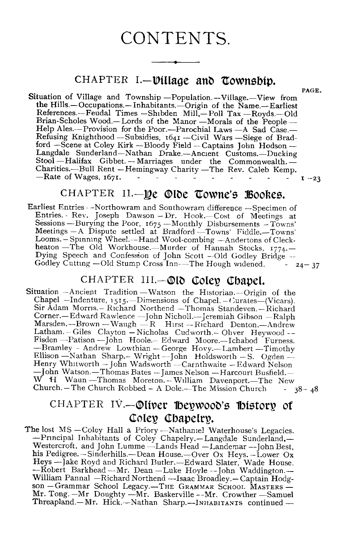#### CONTENTS.

#### CHAPTER **I.—ViIlage and township.**

**PAGE .**

Situation of Village and Township -Population. -- Village. -- View from the Hills.-Occupations.-Inhabitants.-Origin of the Name.-Earliest References.–Feudal Times –Shibden Mill,–Poll Tax –Royds.–Old Brian-Scholes Wood .–Lords of the Manor –Morals of the People – Help Ales.--Provision for the Poor.--Parochial Laws -- A Sad Case.-Refusing Knighthood -- Subsidies, 1641 -- Civil Wars -- Siege of Bradford –Scene at Coley Kirk – Bloody Field – Captains John Hodson – Langdale Sunderland–Nathan Drake .–Ancient Customs.–Ducking Languale Sunderland—Nathan Drake.—Ancient Customs.—Ducking<br>Stool —Halifax Gibbet. — Marriages under the Commonwealth. —<br>Charities.—Bull Rent —Hemingway Charity —The Rev. Caleb Kemp.  $-$ Rate of Wages,  $167I$ .  $\qquad \qquad 1 \qquad \qquad 23$ 

#### CHAPTER II.—**De ©lde Towne's Bookes.**

Earliest Entries --Northowram and Southowram difference --Specimen of Entries. Rev. Joseph Dawson  $-Dr$ . Hook .—Cost of Meetings at Sessions –Burying the Poor, *1675 –Monthly Disbursements –Towns' Meetings –A Dispute settled at Bradford –Towns' Fiddle .–Towns'* Looms. - Spinning Wheel.--Hand Wool-combing --Andertons of Cleckheaton - The Old Workhouse. - Murder of Hannah Stocks, 1774. -Dying Speech and Confession of John Scott --Old Godley Bridge --<br>Godley Cutting --Old Stump Cross Inn---The Hough widened. -  $24-37$ Godley Cutting -Old Stump Cross Inn-The Hough widened.

#### CHAPTER III.-Old Coley Chapel.

Situation --Ancient Tradition –Watson the Historian .–Origin of the Chapel –Indenture, 1515 .--Dimensions of Chapel . –Curates–(Vicars). Sir Adam Morris.– Richard Northend –Thomas Standeven . –Richard Corner.–Edward Rawlence –John Nicholl .–Jeremiah Gibson –Ralph Marsden.–Brown –Waugh –R Hirst –Richard Denton .–Andrew Latham. -- Giles Clayton -- Nicholas Cudworth. -- Oliver Heywood --Fisden – Patison – John Hoole.– Edward Moore.– Ichabod Furness. -Bramley - Andrew Lowthian - George Hovy.--Lambert - Timothy Ellison -Nathan Sharp .- Wright --John Holdsworth -- S. Ogden --Henry Whitworth – John Wadsworth – Carnthwaite – Edward Nelson Henry Whitworth -- John Wadsworth -- Carnthwaite -- Edward Nelson<br>—John Watson -- Thomas Bates -- James Nelson -- Harcourt Busfield. --<br>W. H. Waun -- Thomas Moreton -- William Davenport. -- The New Church .– The Church Robbed – A Dole .– The Mission Church -  $38 - 48$ 

#### CHAPTER IV.—Oliver Heywood's History of Coley Chapelry.

The lost MS –Coley Hall a Priory –Nathaniel Waterhouse's Legacies. Le Tox MJ – Concy Train a Friory – Naturalier waterhouse's Legaties.<br>  $\frac{1}{2}$  – Principal Inhabitants of Coley Chapelry – Langdale Sunderland –<br>
Westercroft, and John Lumme – Lands Head – Landemar –-John Best, his Pedigree.—Sinderhills.—Dean House.—Over Ox Heys. -Lower Ox Heys –Jake Royd and Richard Butler. –Edward Slater, Wade House.<br>--Robert Barkhead –Mr. Dean –Luke Hoyle –John Waddington. William Pannal –Richard Northend –Isaac Broadley .– Captain Hodgson - Grammar School Legacy.-THE GRAMMAR SCHOOL MASTERS-Mr. Tong. –Mr Doughty –Mr. Baskerville --Mr. Crowther –Samuel<br>Threapland. –Mr. Hick. –Nathan Sharp. –-INHABITANTS continued –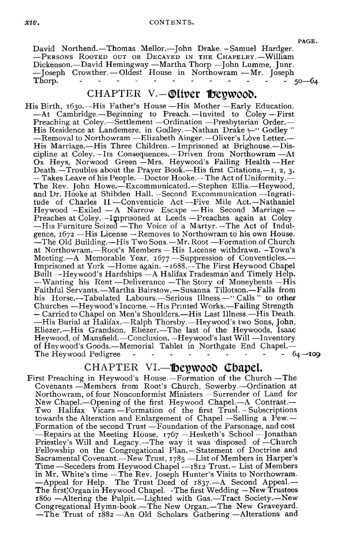#### *xay .* CONTENTS .

David Northend.-Thomas Mellor.--John Drake. - Samuel Hardger. -PERSONS ROOTED OUT OR DECAYED IN THE CHAPELRY.-William Thorp.

#### CHAPTER **V.—Oliver Heywood .**

Dickenson .–David Hemingway –Martha Thorp –John Lumme, Junr . –Joseph Crowther. – Oldest House in Northowram –Mr. Joseph .–His Marriage Three Children . –Imprisoned at Brighouse.–Dis-e Letter His Birth, 1630.—His Father's House -His Mother -Early Education. –At Cambridge .–Beginning to Preach .–Invited to Coley --First Preaching at Coley.—Settlement —Ordination —Presbyterian Order.— His Residence at Landemere, in Godley .- Nathan Drake  $+$ " Godley " —Removal to Northowram —Elizabeth Ainger.—Oliver's Love Letter.—<br>His Marriage.—His Three Children.—Imprisoned at Brighouse.—Discipline at Coley. –Its Consequences.–Driven from Northowram –At Ox Heys, Norwood Green – Mrs. Heywood's Failing Health – Her Death.—Troubles about the Prayer Book.—His first Citations.—1, 2, 3. –Takes Leave of his People .–Doctor Hooke .–The Act of Uniformity .-- The Rev. John Howe.—Excommunicated.—Stephen Ellis.—Heywood, and Dr. Hooke at Shibden Hall. --Second Excommunication -- Ingratitude of Charles II –Conventicle Act –Five Mile Act.–Nathaniel Heywood --Exiled – A Narrow Escape – His Second Marriage – Preaches at Coley.--Imprisoned at Leeds –Preaches again at Cole <sup>y</sup> –His Furniture Seized –The Voice of a Martyr . –The Act of Indulgence,  $1672$  – His License – Removes to Northowram to his own House. – The Old Building. – His Two Sons. – Mr. Root – Formation of Church at Northowram.–Root's Members – His License withdrawn . –Town's Meeting .- A Memorable Year, 1677 - Suppression of Conventicles.-Imprisoned at York –Home again.–1688.–The First Heywood Chapel Built --Heywood's Hardships -A Halifax Tradesman'and Timely Help. --Wanting his Rent --Deliverance -- The Story of Moneybents -- His Faithful Servants.–Martha Bairstow.–Susanna Tillotson .–Falls from his Horse.--Tabulated Labours.--Serious Illness --" Calls " to other Churches –Heywood's Income . --His Printed Works.–Failing Strength – Carried to Chapel on Men's Shoulders.–His Last Illness.–His Death . – His Burial at Halifax .–Ralph Thorsby .–Heywood's two Sons, John , Eliezer.-His Grandson, Eliezer.-The last of the Heywoods, Isaac Heywood, of Mansfield.—Conclusion. –Heywood's last Will —Inventory of Heywood's Goods.—Memorial Tablet in Northgate End Chapel.—<br>The Heywood Pedigree The Heywood Pedigree

#### CHAPTER **VI.—Heywood Chapel.**

First Preaching in Heywood's House.-Formation of the Church-The Covenants –Members from Root's Church, Sowerby.–Ordination a t Northowram, of four Nonconformist Ministers – Surrender of Land for New Chapel.--Opening of the first Heywood Chapel.---A Contrast.--Two Halifax Vicars –Formation of the first Trust . – Subscriptions towards the Alteration and Enlargement of Chapel -Selling a Pew.-Formation of the second Trust –Foundation of the Parsonage, and cost – Repairs at the Meeting House, 1767 –Hesketh's School –Jonatha n Priestley's Will and Legacy .–The way it was disposed of –Church Fellowship on the Congregational Plan.-Statement of Doctrine and Sacramental Covenant .- New Trust, 1785 - List of Members in Harper's Time –Seceders from Heywood Chapel --1812 Trust .– List of Members in Mr. White's time – The Rev. Joseph Hunter's Visits to Northowram. – Appeal for Help. The Trust Deed of 1837 .–A Second Appeal.– The first Organ in Heywood Chapel. - The first Wedding -New Trustees 186o –Altering the Pulpit.–Lighted with Gas.–Tract Society .–New Congregational Hymn-book .–The New Organ .–The New Graveyard. –The Trust of 1882 –An Old Scholars Gathering –Alterations and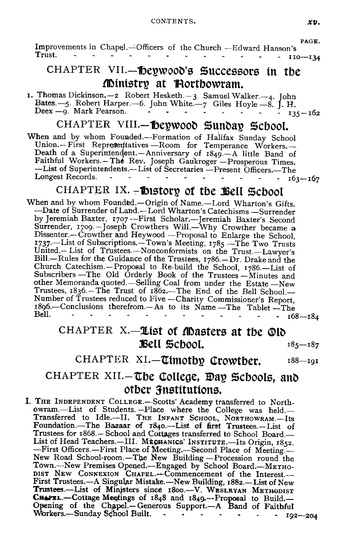#### CONTENTS.  $\alpha v$ .

PAGE. Improvements in Chapel. —Officers of the Church --Edward Hanson's<br>Trust. 110—134

#### CHAPTER VII.-Heywood's Successors in the Ministry at Northowram .

1. Thomas Dickinson. - 2 Robert Hesketh  $-3$  Samuel Walker. - 4. John Bates.—5. Robert Harper.—6. John White.—7 Giles Hoyle —8. J. H.<br>Deex —9. Mark Pearson.

#### CHAPTER VIII.— Deywood Sunday School.

When and by whom Founded .—Formation of Halifax Sunday School Union .—First Representatives —Room for Temperance Workers.— Death of a Superintendent.—Anniversary of 1849.—A little Band of Faithful Workers.—The Rev. Joseph Gaukroger —Prosperous Times. Faitheful Workers. Here . Joseph Gaukroger — Times. —List of Secretaries —Present Officers. —The Longest Records. Longest Records.

#### CHAPTER  $IX.$  -thistory of the Bell School

When and by whom Founded .—Origin of Name.—Lord Wharton's Gifts. —Date of Surrender of Land .—Lord Wharton's Catechisms —Surrender by Jeremiah Baxter, 1707 --First Scholar.—Jeremiah Baxter's Second Surrender, 1709.—Joseph Crowthers Will .—Why Crowther became a Dissenter.— Crowther and Heywood —Proposal to Enlarge the School , 1737.—List of Subscriptions.—Town's Meeting, 1785 —The Two Trusts United.— List of Trustees.—Nonconformists on the Trust.—Lawyer's Bill.—Rules for the Guidance of the Trustees, 1786.—Dr. Drake and the Church Catechism.—Proposal to Re-build the School, 1786 .—List of Subscribers —The Old Orderly Book of the Trustees —Minutes and other Memoranda quoted.—Selling Coal from under the Estate —New Trustees, 1836 .-- The Trust of 1862.-- The End of the Bell School.--Number of Trustees reduced to Five —Charity Commissioner's Report, 1896.—Conclusions therefrom.— As to its Name — The Tablet — The Bell. - - - - - - - - - - - - 168—184

#### CHAPTER X.-List of Masters at the Old  $Bell$  School.  $185-187$

CHAPTER XI. - Timothy Crowther. 188-191

#### CHAPTER XII.-The College, Day Schools, and other 3 nstitutions.

I. THE INDEPENDENT **COLLEGE .-SCOttS**' Academy transferred to North owram.-List of Students. -- Place where the College was held.-Transferred to Idle.—II. THE INFANT SCHOOL, NORTHOWRAM.—Its Foundation .—The Bazaar of 184o.—List of first Trustees.—List of Trustees for 1868.—School and Cottages transferred to School Board.—<br>List of Head Teachers.—III. MECHANICS' INSTITUTE.—Its Origin, 1852. -First Officers.—First Place of Meeting.—Second Place of Meeting. New Road School-room.—The New Building — Procession round the<br>Town.—New Premises Opened.—Engaged by School Board.—METHO-DIST NEW CONNEXION CHAPEL. Commencement of the Interest .-First Trustees.—A Singular Mistake.—New Building, 1882.—List of New Trustees.-List of Ministers since 1800.--V. WESLEYAN METHODIST CHAPEL.-Cottage Meetings of 1848 and 1849.--Proposal to Build.-<br>Opening of the Chapel.-Generous Support.--A Band of Faithful  $-192 - 204$